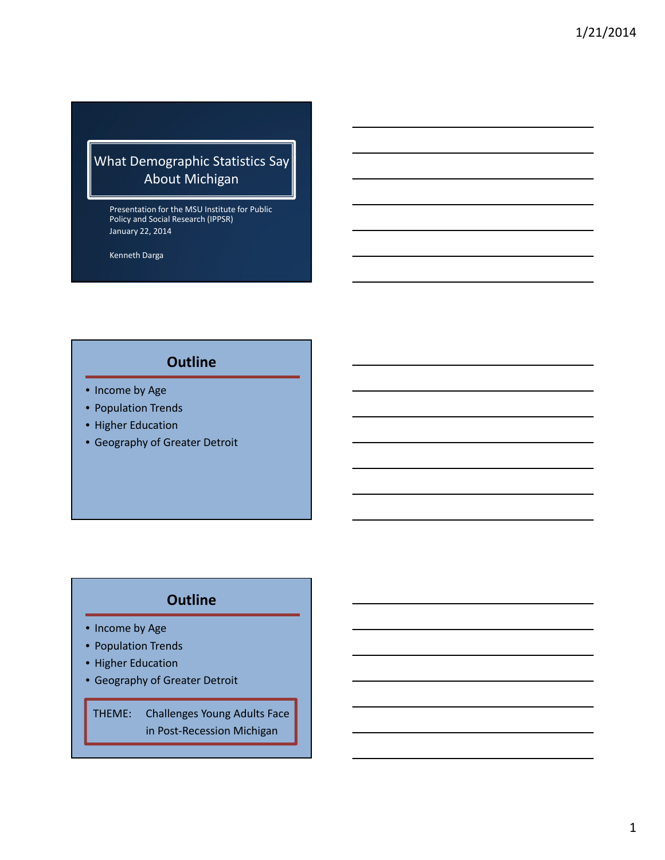## What Demographic Statistics Say About Michigan

Presentation for the MSU Institute for Public Policy and Social Research (IPPSR) January 22, 2014

Kenneth Darga

## **Outline**

- Income by Age
- Population Trends
- Higher Education
- Geography of Greater Detroit

## **Outline**

- Income by Age
- Population Trends
- Higher Education
- Geography of Greater Detroit

THEME: Challenges Young Adults Face in Post‐Recession Michigan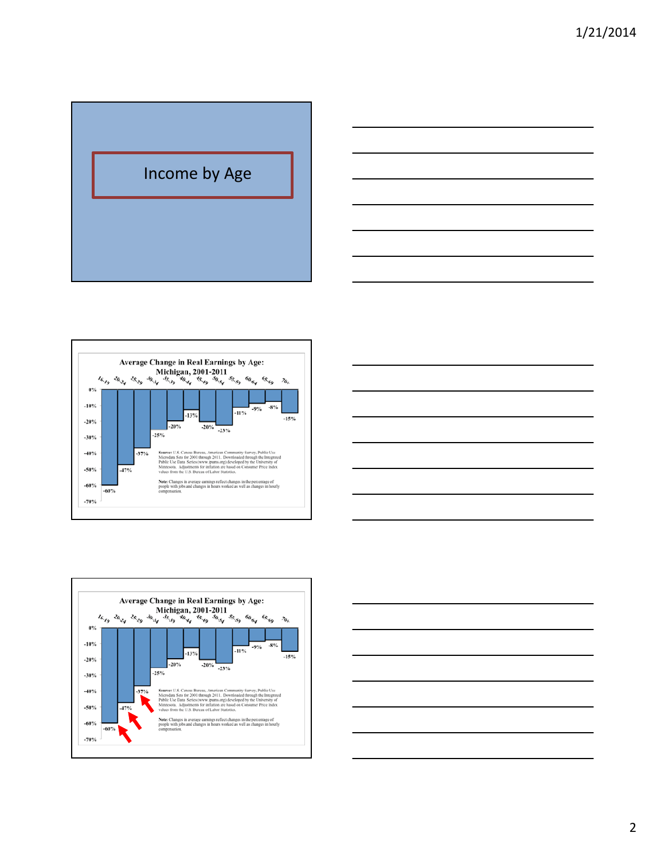







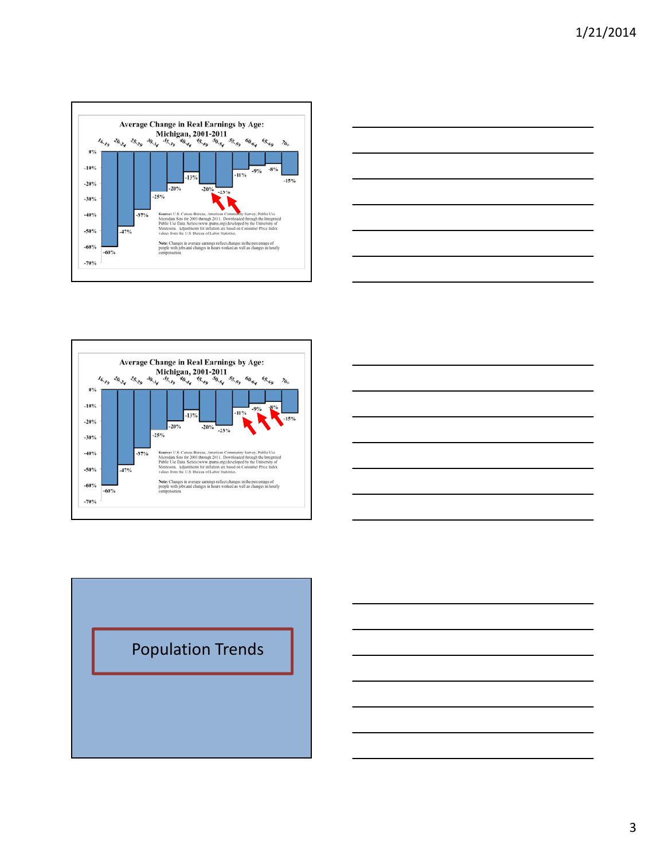







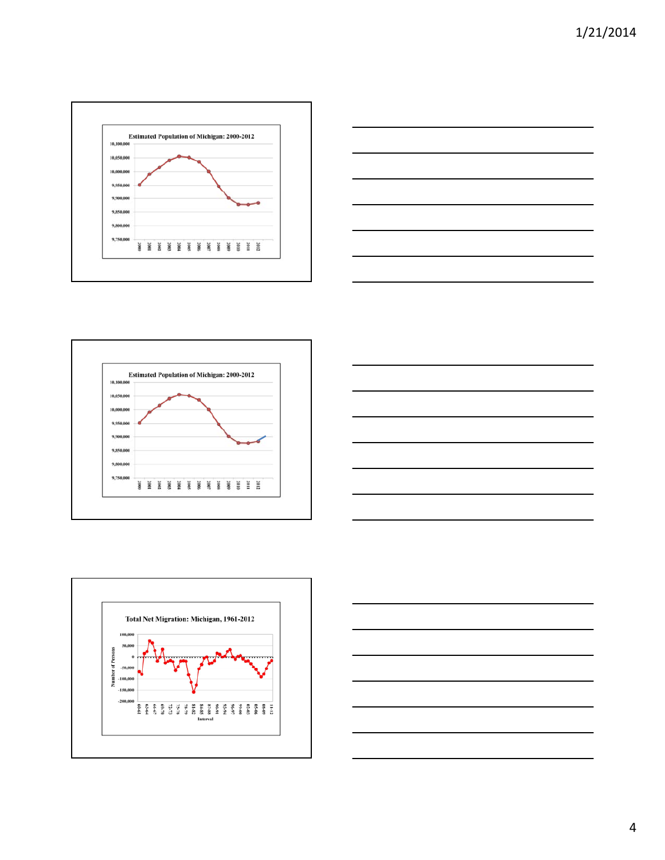









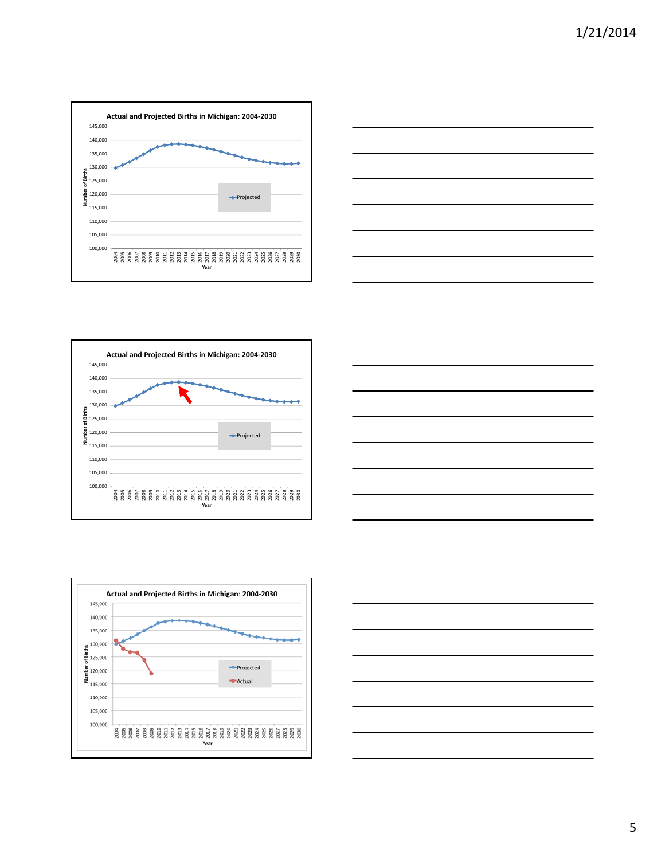









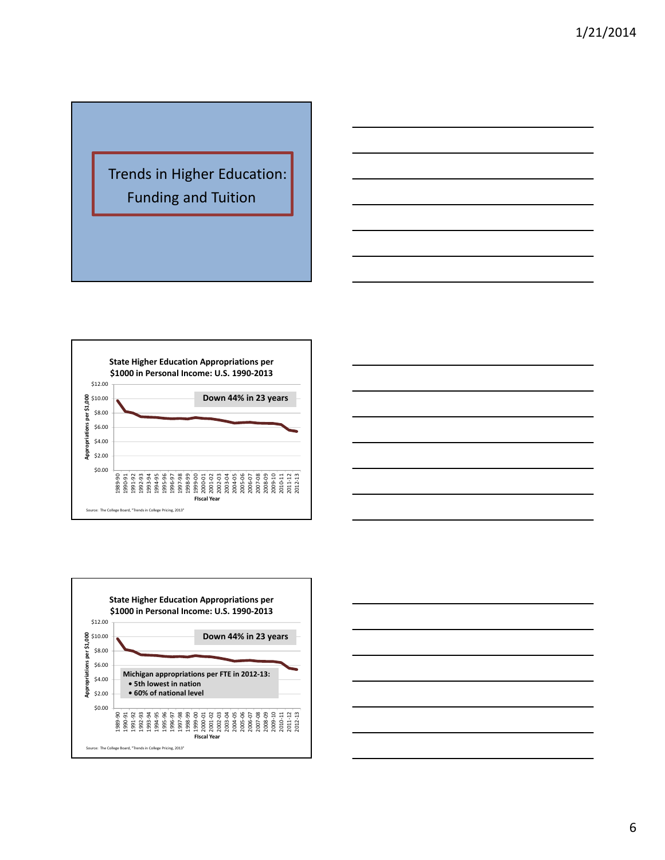







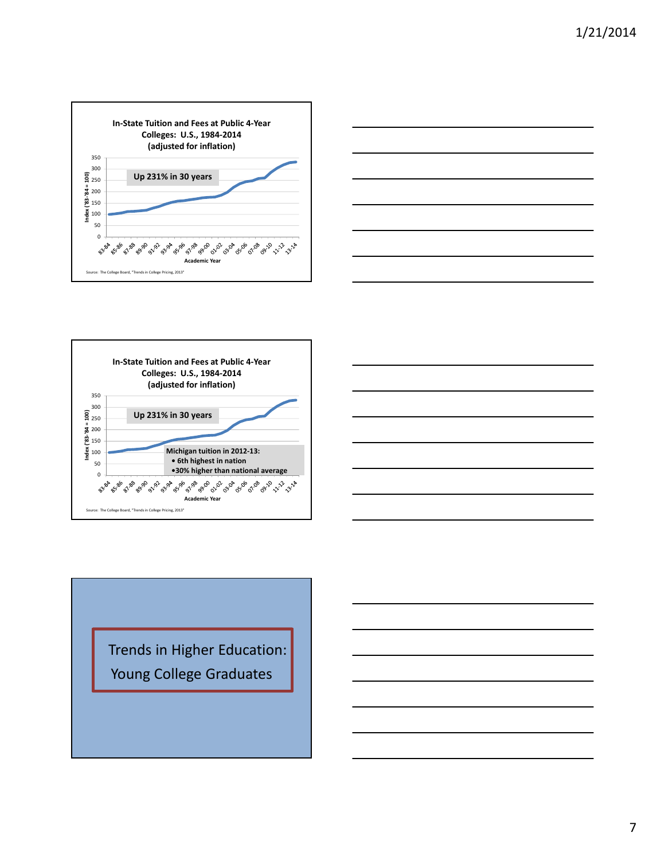





Trends in Higher Education: Young College Graduates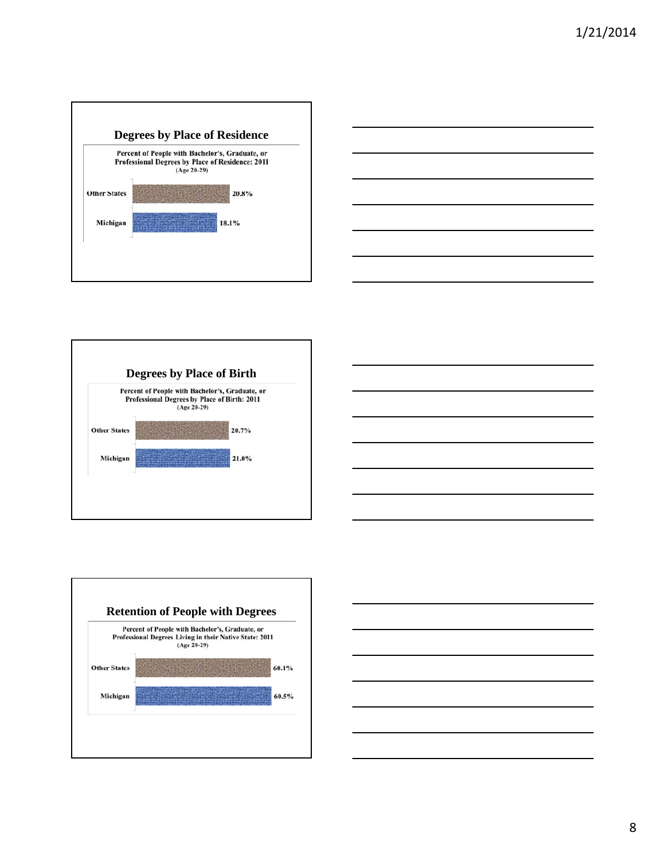









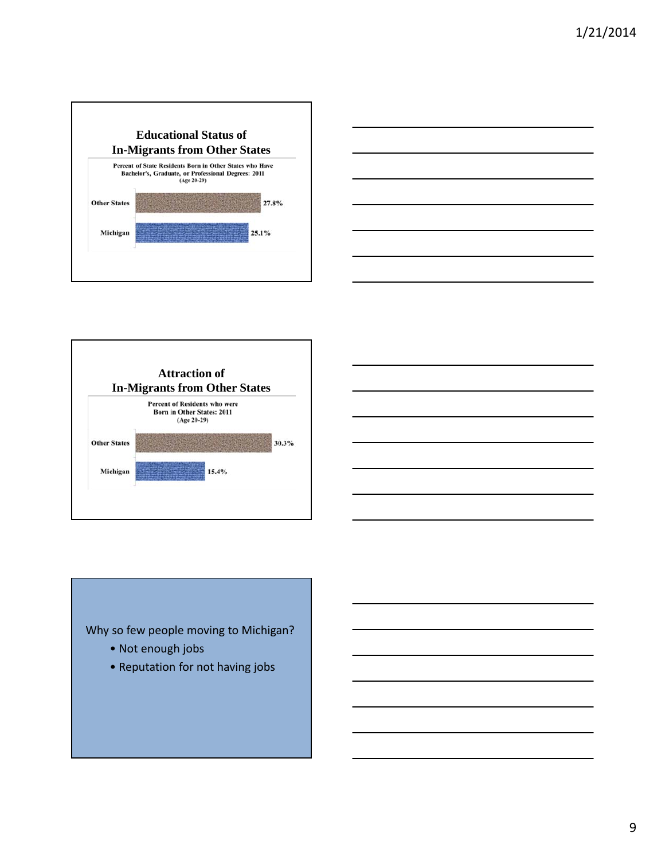







- Not enough jobs
- Reputation for not having jobs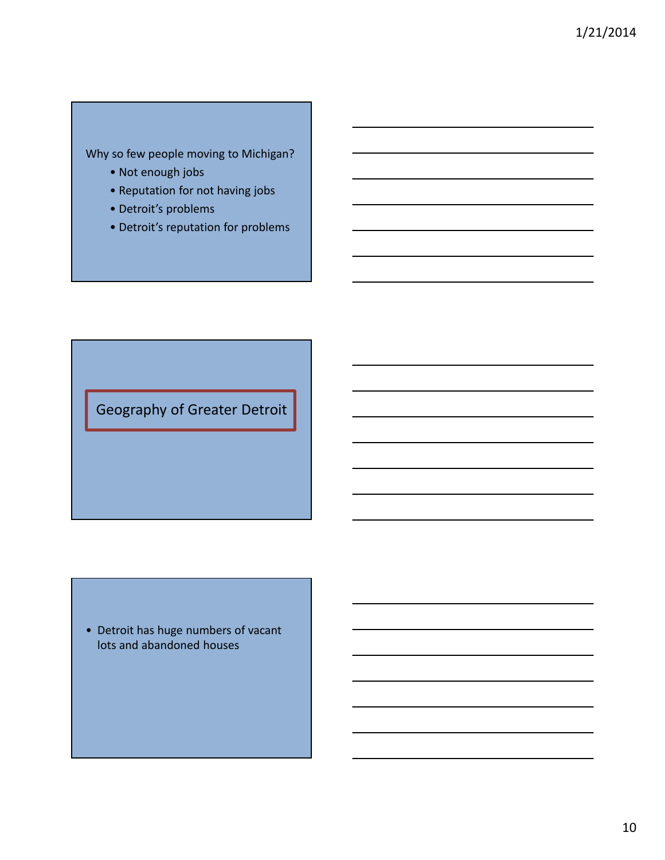## Why so few people moving to Michigan?

- Not enough jobs
- Reputation for not having jobs
- Detroit's problems
- Detroit's reputation for problems

Geography of Greater Detroit

• Detroit has huge numbers of vacant lots and abandoned houses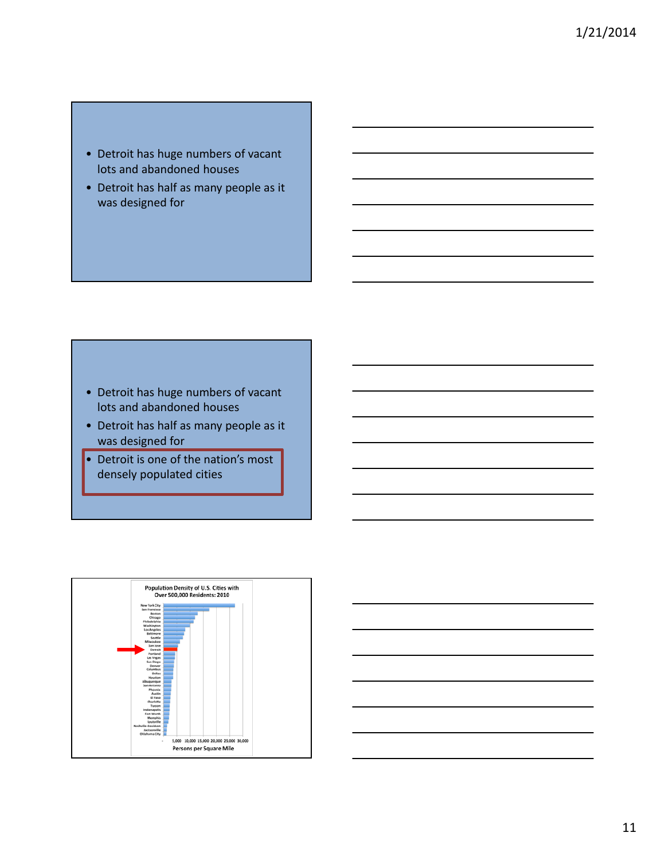## • Detroit has huge numbers of vacant lots and abandoned houses

• Detroit has half as many people as it was designed for

- Detroit has huge numbers of vacant lots and abandoned houses
- Detroit has half as many people as it was designed for
- Detroit is one of the nation's most densely populated cities



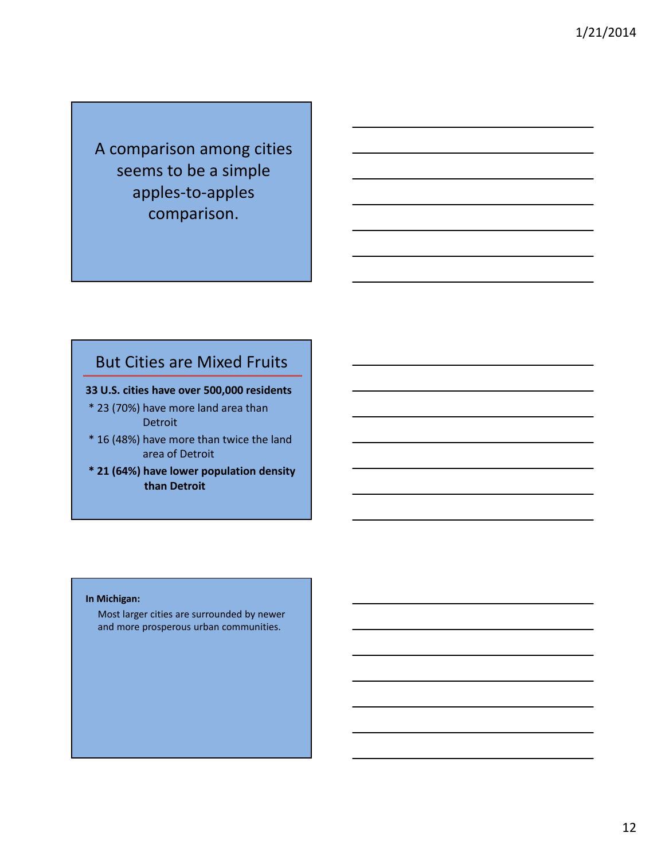A comparison among cities seems to be a simple apples‐to‐apples comparison.

## But Cities are Mixed Fruits

- **33 U.S. cities have over 500,000 residents**
- \* 23 (70%) have more land area than Detroit
- \* 16 (48%) have more than twice the land area of Detroit
- **\* 21 (64%) have lower population density than Detroit**

### **In Michigan:**

Most larger cities are surrounded by newer and more prosperous urban communities.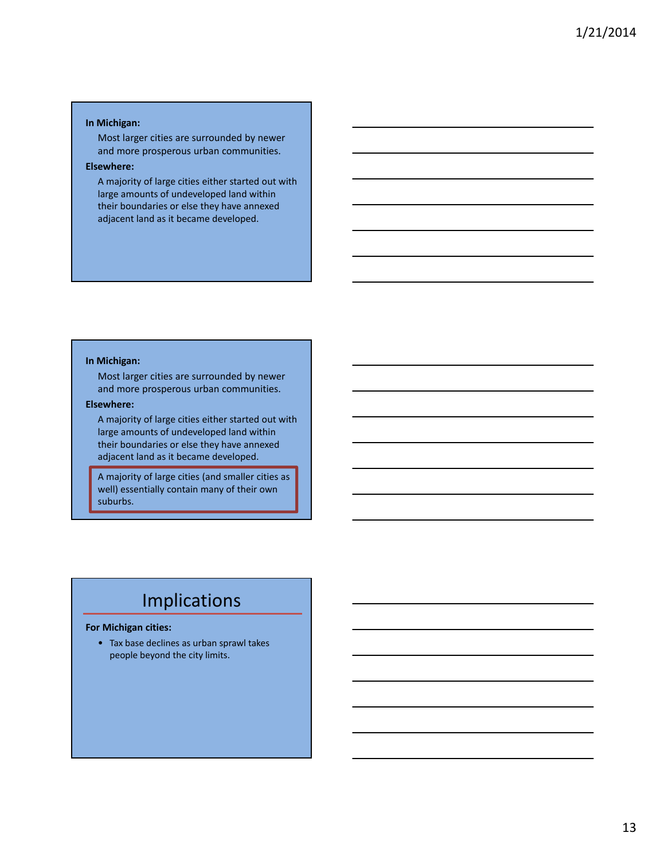#### **In Michigan:**

Most larger cities are surrounded by newer and more prosperous urban communities.

### **Elsewhere:**

A majority of large cities either started out with large amounts of undeveloped land within their boundaries or else they have annexed adjacent land as it became developed.

#### **In Michigan:**

Most larger cities are surrounded by newer and more prosperous urban communities.

#### **Elsewhere:**

A majority of large cities either started out with large amounts of undeveloped land within their boundaries or else they have annexed adjacent land as it became developed.

A majority of large cities (and smaller cities as well) essentially contain many of their own suburbs.

# Implications

### **For Michigan cities:**

• Tax base declines as urban sprawl takes people beyond the city limits.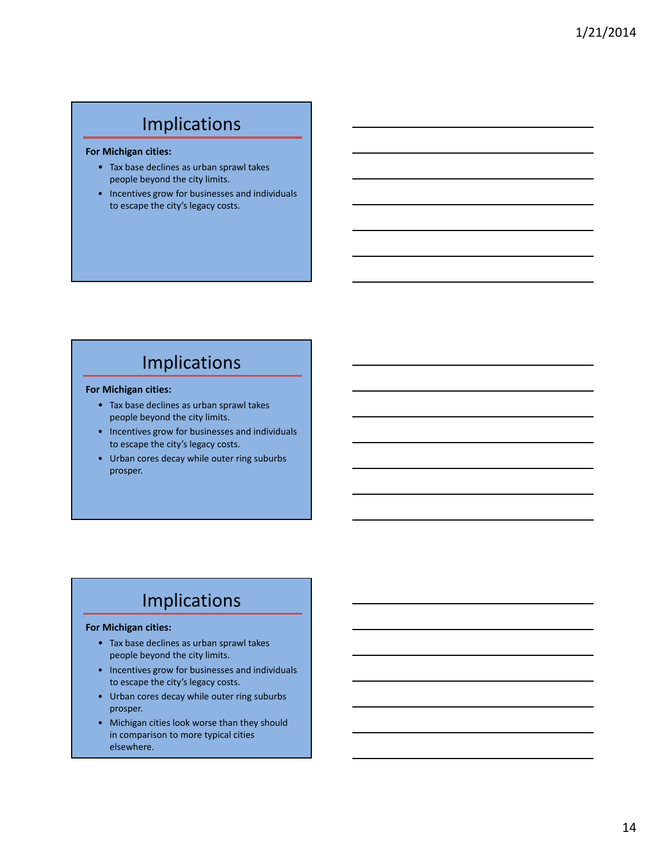# Implications

#### **For Michigan cities:**

- Tax base declines as urban sprawl takes people beyond the city limits.
- Incentives grow for businesses and individuals to escape the city's legacy costs.

# Implications

### **For Michigan cities:**

- Tax base declines as urban sprawl takes people beyond the city limits.
- Incentives grow for businesses and individuals to escape the city's legacy costs.
- Urban cores decay while outer ring suburbs prosper.

# Implications

### **For Michigan cities:**

- Tax base declines as urban sprawl takes people beyond the city limits.
- Incentives grow for businesses and individuals to escape the city's legacy costs.
- Urban cores decay while outer ring suburbs prosper.
- Michigan cities look worse than they should in comparison to more typical cities elsewhere.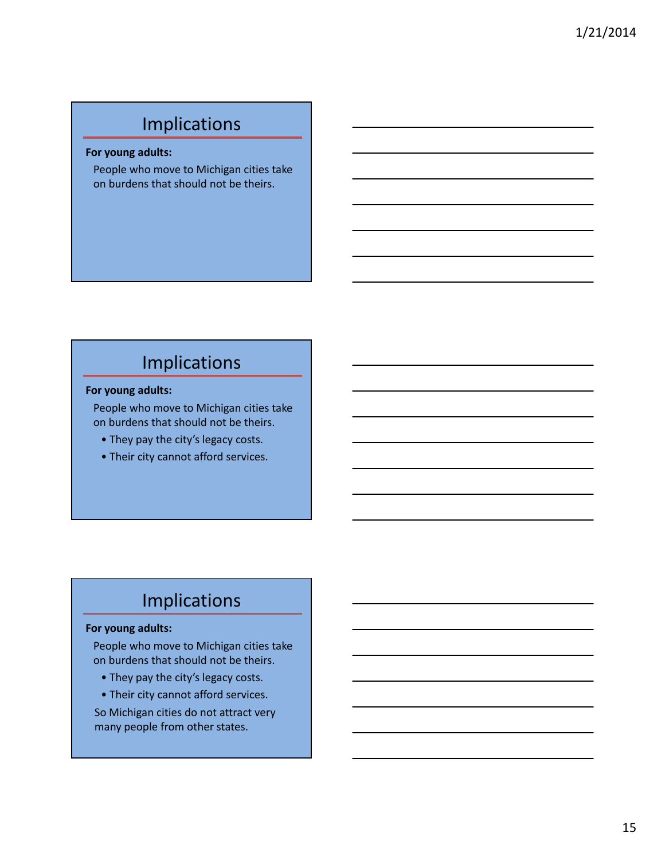# Implications

**For young adults:**

People who move to Michigan cities take on burdens that should not be theirs.

# Implications

### **For young adults:**

People who move to Michigan cities take on burdens that should not be theirs.

• They pay the city's legacy costs.

• Their city cannot afford services.

# Implications

### **For young adults:**

People who move to Michigan cities take on burdens that should not be theirs.

- They pay the city's legacy costs.
- Their city cannot afford services.

So Michigan cities do not attract very many people from other states.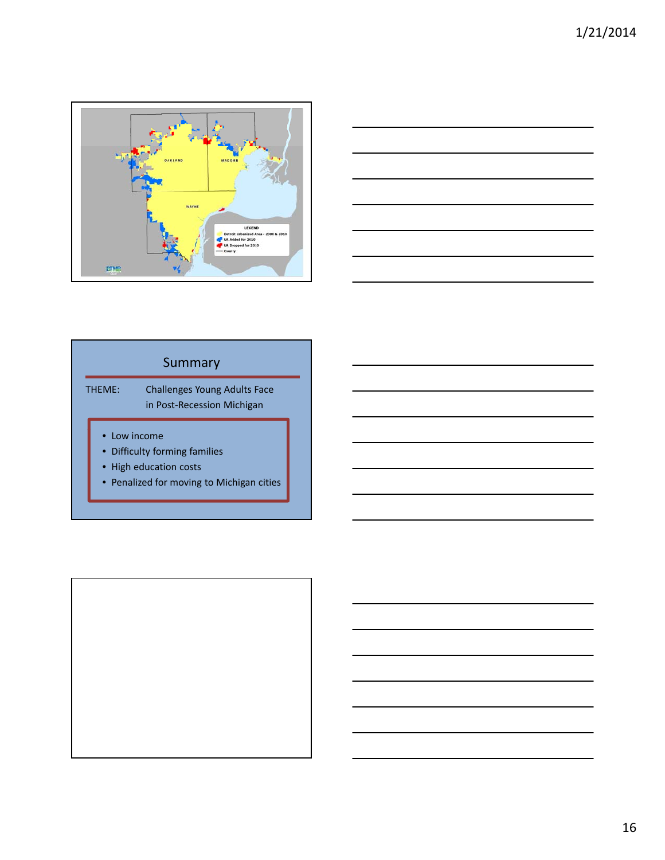



## Summary

THEME: Challenges Young Adults Face in Post‐Recession Michigan

- Low income
- Difficulty forming families
- High education costs
- Penalized for moving to Michigan cities

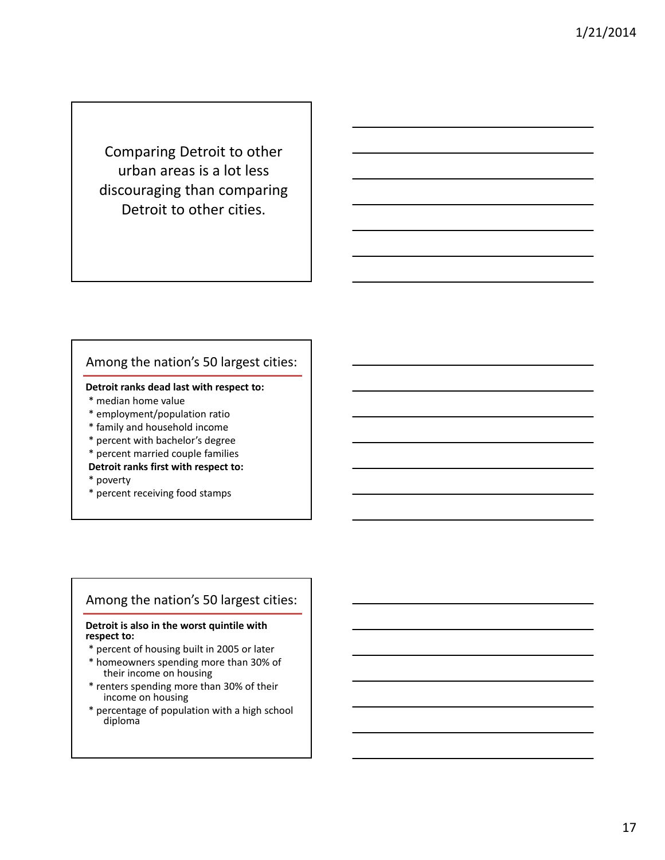Comparing Detroit to other urban areas is a lot less discouraging than comparing Detroit to other cities.

## Among the nation's 50 largest cities:

### **Detroit ranks dead last with respect to:**

- \* median home value
- \* employment/population ratio
- \* family and household income
- \* percent with bachelor's degree
- \* percent married couple families
- **Detroit ranks first with respect to:**
- \* poverty
- \* percent receiving food stamps

### Among the nation's 50 largest cities:

#### **Detroit is also in the worst quintile with respect to:**

- \* percent of housing built in 2005 or later
- \* homeowners spending more than 30% of their income on housing
- \* renters spending more than 30% of their income on housing
- \* percentage of population with a high school diploma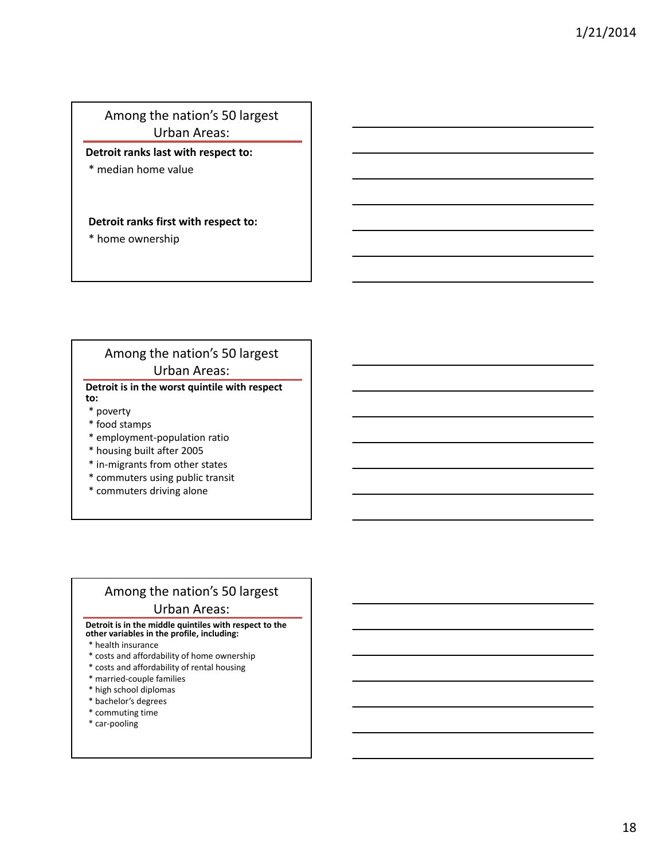## Among the nation's 50 largest Urban Areas:

### **Detroit ranks last with respect to:**

\* median home value

### **Detroit ranks first with respect to:**

\* home ownership

## Among the nation's 50 largest Urban Areas:

#### **Detroit is in the worst quintile with respect to:**

- \* poverty
- \* food stamps
- \* employment‐population ratio
- \* housing built after 2005
- \* in‐migrants from other states
- \* commuters using public transit
- \* commuters driving alone

## Among the nation's 50 largest Urban Areas:

#### **Detroit is in the middle quintiles with respect to the other variables in the profile, including:**

- \* health insurance
- \* costs and affordability of home ownership
- \* costs and affordability of rental housing
- \* married‐couple families
- \* high school diplomas
- \* bachelor's degrees
- \* commuting time
- \* car‐pooling